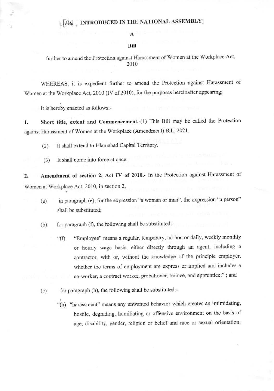### INTRODUCED IN THE NATIONAL ASSEMBLY]

#### Bill

further to amend the Protection against Harassment of Women at the Workplace Act, 2010

WHEREAS, it is expedient further to amend the Protection against Harassment of Women at the Workplace Act, 2010 (IV of 2010), for the purposes hereinafter appearing;

It is hereby enacted as follows:-

Short title, extent and Commencement.-(1) This Bill may be called the Protection 1. against Harassment of Women at the Workplace (Amendment) Bill, 2021.

It shall extend to Islamabad Capital Territory.  $(2)$ 

It shall come into force at once.  $(3)$ 

Amendment of section 2, Act IV of 2010.- In the Protection against Harassment of  $2.$ Women at Workplace Act, 2010, in section 2,

- in paragraph (e), for the expression "a woman or man", the expression "a person"  $(a)$ shall be substituted;
- for paragraph (f), the following shall be substituted:- $(b)$ 
	- "Employee" means a regular, temporary, ad hoc or daily, weekly monthly  $\mathrm{``(f)}$ or hourly wage basis, either directly through an agent, including a contractor, with or, without the knowledge of the principle employer, whether the terms of employment are express or implied and includes a co-worker, a contract worker, probationer, trainee, and apprentice;"; and
- for paragraph (h), the following shall be substituted:- $(c)$ 
	- "(h) "harassment" means any unwanted behavior which creates an intimidating, hostile, degrading, humiliating or offensive environment on the basis of age, disability, gender, religion or belief and race or sexual orientation;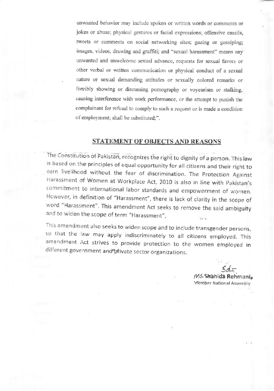unwanted behavior may include spoken or written words or comments or jokes or abuse; physical gestures or facial expressions; offensive emails, tweets or comments on social networking sites; gazing or gossiping; images, videos, drawing and graffiti; and "sexual harassment" means any unwanted and unwelcome sexual advance, requests for sexual favors or other verbal or written communication or physical conduct of a sexual nature or sexual demanding attitudes or sexually colored remarks or forcibly showing or discussing pornography or voyeurism or stalking, causing interference with work performance, or the attempt to punish the complainant for refusal to comply to such a request or is made a condition of employment; shall be substituted;".

### **STATEMENT OF OBJECTS AND REASONS**

The Constitution of Pakistan, recognizes the right to dignity of a person. This law is based on the principles of equal opportunity for all citizens and their right to earn livelihood without the fear of discrimination. The Protection Against Harassment of Women at Workplace Act, 2010 is also in line with Pakistan's commitment to international labor standards and empowerment of women. However, in definition of "Harassment", there is lack of clarity in the scope of word "Harassment". This amendment Act seeks to remove the said ambiguity and to widen the scope of term "Harassment",

This amendment also seeks to widen scope and to include transgender persons, so that the law may apply indiscriminately to all citizens employed. This amendment Act strives to provide protection to the women employed in different government and private sector organizations.

M5, Shahida Rehmani Member National Assembly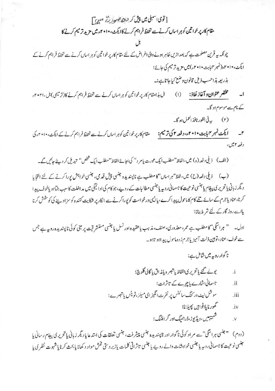# [قومی،سمبلی میں پیش کر حیدے صورت صدح آ

مقام کار پرخواتین کوہر اسال کرنے سے تحفظ فراہم کرنے کاایکٹ، ۲۰۱۰ء میں مزید تر میم کرنے کا

چونکہ یہ قرین مصلحت ہے کہ بعد ازیں ظاہر ہونے والی اغراض کے لئے مقام کار پر خواتین کو ہر اساں کرنے سے تحفظ فراہم کرنے کے ايكث، ٢٠١٠، (نمبر ٢٢بيت ٢٠١٩) ميل مزيد ترميم كى جائے؛

بذريعه ہذاحسب ذيل قانون وضع كياجاتا ہے:۔

مختصر عنوان و آغاز نفاذ: (۱) بل ہذا مقام کار پر خواتین کو ہر اساں کرنے سے تحفظ فراہم کرنے کا(ترمیمی) بل،۲۰۲۱ء کے نام سے موسوم ہو گا۔

(۲) \_\_\_ به في الفور نافذ العمل ہو گا۔

۲\_\_\_ ایکٹ نمبر ۴ بابت ۲۰۱۰ <sub>۴</sub>۰۰وفعہ ۲ کی ترمیم: مقام کار پر خواتین کوہر اسال کرنے سے تحفظ فراہم کرنے کے ایکٹ، ۲۰۱۰ء کی د فعه ۲ میں

(الف) ذيلي د فعه (ه) ميں،الفاظ "مطلب ايک عورت يام د" کی بجائے الفاظ "مطلب ايک فحض'' تيديل کر دیئے جائيں گے۔

(ب) ذیلی دفعہ (ح) میں،لفظ"ہراساں"کا مطلب ہے ناپسندیدہ جنسی پیش قد می، جنسی خواہش پورا کرنے کے لئے التجایا دیگر زبانی یاتحریری پیغام یا جنسی نوعیت کا جسسانی روپه یا جنسی مطالبات کے روپے،جو کام کی ادائیگی میں مداخلت کاسبب بنیاہو یاخوف پیدا کرنا،عناد یاجرم کے سائے تلے کام کاماحول پیدا کرے،پالیں درخواست کو پوراکرنے سے انکار پر شکایت کنندہ کو سزاد پنے کی کوشش کرنا یااسے روز گارکے لئے شر ط بنانا؛

اول۔ " ہراسگی" کا مطلب ہے عمر، معذوری، صنف، مذہب یاعقیدہ اور نسل یا جنسی مستشرقیت پر مبنی کوئی ناپسندیدہ رو ہہ ہے جس سے خوف، عناد ، تومین ذلت آمیز یا جرم زدہ ماحول پید اہو تاہو۔

(دوم) «جنسي ہراسگي" سے مر اد کوئي ناگوار اور ناپسنديدہ جنسي پيشر فت، جنسي تعلقات کي استدعا يا ديگر زباني يا تحرير ي پيغام رساني يا جنسی نوعیت کا جسمانی روپہ یا جنسی خواہشات والے روپے یا جنسی تاثراتی کلمات یازبر دستی فخش مواد د کھانا یا بحث کرنا یاشہوت نظری یا